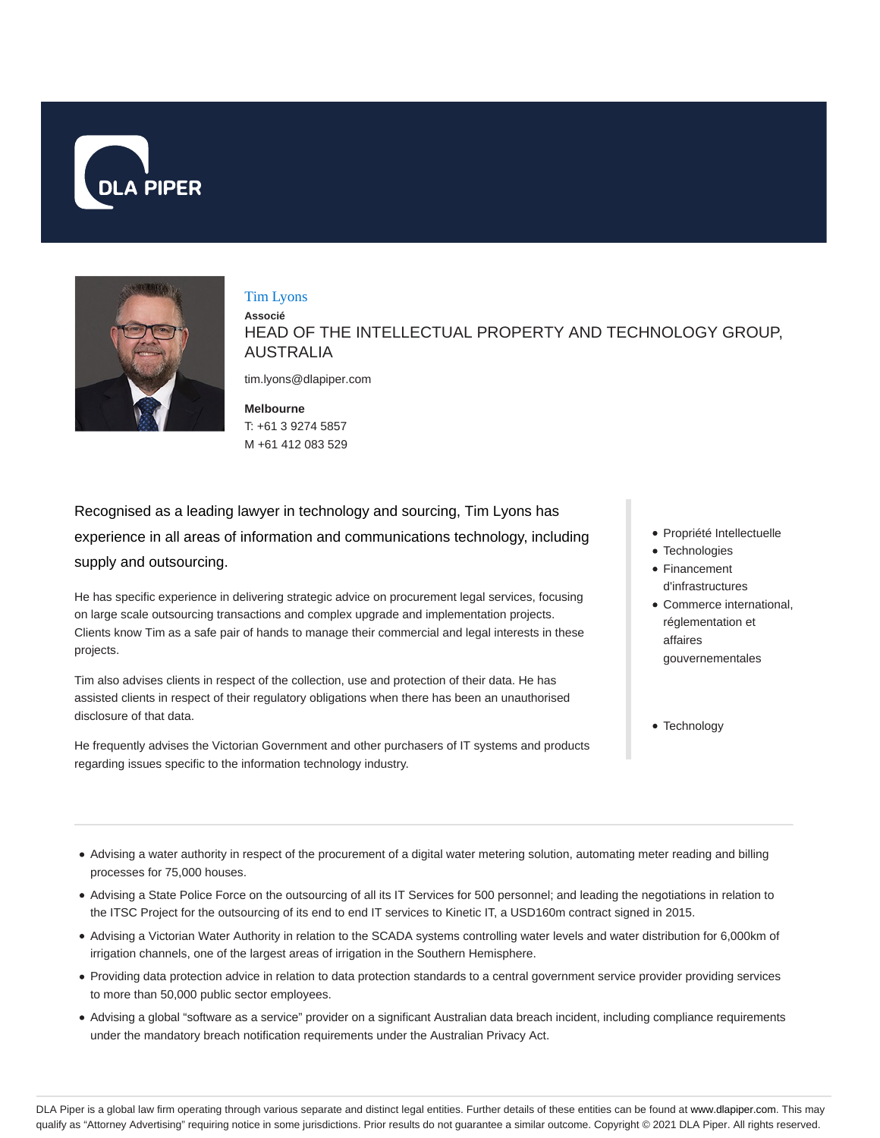



#### Tim Lyons

**Associé** HEAD OF THE INTELLECTUAL PROPERTY AND TECHNOLOGY GROUP, AUSTRALIA

tim.lyons@dlapiper.com

**Melbourne** T: +61 3 9274 5857 M +61 412 083 529

Recognised as a leading lawyer in technology and sourcing, Tim Lyons has experience in all areas of information and communications technology, including supply and outsourcing.

He has specific experience in delivering strategic advice on procurement legal services, focusing on large scale outsourcing transactions and complex upgrade and implementation projects. Clients know Tim as a safe pair of hands to manage their commercial and legal interests in these projects.

Tim also advises clients in respect of the collection, use and protection of their data. He has assisted clients in respect of their regulatory obligations when there has been an unauthorised disclosure of that data.

He frequently advises the Victorian Government and other purchasers of IT systems and products regarding issues specific to the information technology industry.

- Propriété Intellectuelle
- Technologies
- Financement d'infrastructures
- Commerce international, réglementation et affaires gouvernementales
- Technology

- Advising a water authority in respect of the procurement of a digital water metering solution, automating meter reading and billing processes for 75,000 houses.
- Advising a State Police Force on the outsourcing of all its IT Services for 500 personnel; and leading the negotiations in relation to the ITSC Project for the outsourcing of its end to end IT services to Kinetic IT, a USD160m contract signed in 2015.
- Advising a Victorian Water Authority in relation to the SCADA systems controlling water levels and water distribution for 6,000km of irrigation channels, one of the largest areas of irrigation in the Southern Hemisphere.
- Providing data protection advice in relation to data protection standards to a central government service provider providing services to more than 50,000 public sector employees.
- Advising a global "software as a service" provider on a significant Australian data breach incident, including compliance requirements under the mandatory breach notification requirements under the Australian Privacy Act.

DLA Piper is a global law firm operating through various separate and distinct legal entities. Further details of these entities can be found at www.dlapiper.com. This may qualify as "Attorney Advertising" requiring notice in some jurisdictions. Prior results do not guarantee a similar outcome. Copyright © 2021 DLA Piper. All rights reserved.